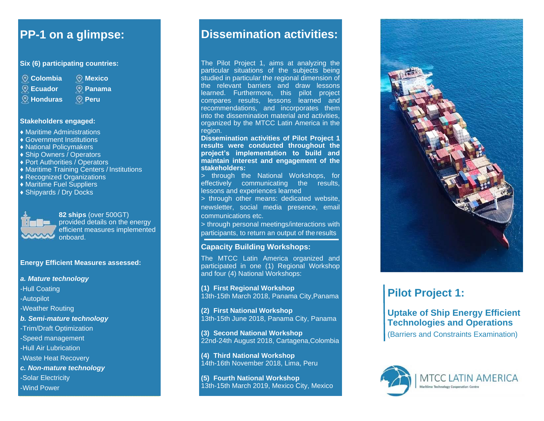### **Six (6) participating countries:**

- **Colombia**
	- **Mexico Panama**
- **Ecuador**
- **Honduras**
- **Peru**
	-

#### **Stakeholders engaged:**

- ♦ Maritime Administrations
- ♦ Government Institutions
- ♦ National Policymakers
- ♦ Ship Owners / Operators
- ♦ Port Authorities / Operators
- ♦ Maritime Training Centers / Institutions
- ♦ Recognized Organizations
- ♦ Maritime Fuel Suppliers
- ♦ Shipyards / Dry Docks



**82 ships** (over 500GT) provided details on the energy efficient measures implemented onboard.

**Energy Efficient Measures assessed:**

### *a. Mature technology* -Hull Coating -Autopilot -Weather Routing *b. Semi-mature technology* -Trim/Draft Optimization -Speed management -Hull Air Lubrication -Waste Heat Recovery *c. Non-mature technology* -Solar Electricity -Wind Power

## **PP-1 on a glimpse: Dissemination activities:**

The Pilot Project 1, aims at analyzing the particular situations of the subjects being studied in particular the regional dimension of the relevant barriers and draw lessons learned. Furthermore, this pilot project compares results, lessons learned and recommendations, and incorporates them into the dissemination material and activities, organized by the MTCC Latin America in the region.

**Dissemination activities of Pilot Project 1 results were conducted throughout the project's implementation to build and maintain interest and engagement of the stakeholders:**

> through the National Workshops, for effectively communicating the results, lessons and experiences learned

> through other means: dedicated website, newsletter, social media presence, email communications etc.

> through personal meetings/interactions with participants, to return an output of the results

### **Capacity Building Workshops:**

The MTCC Latin America organized and participated in one (1) Regional Workshop and four (4) National Workshops:

" **Pilot Project 1:** 13th-15th March 2018, Panama City,Panama **(1) First Regional Workshop**

> **(2) First National Workshop** 13th-15th June 2018, Panama City, Panama

**(3) Second National Workshop** 22nd-24th August 2018, Cartagena,Colombia

**(4) Third National Workshop** 14th-16th November 2018, Lima, Peru

**(5) Fourth National Workshop** 13th-15th March 2019, Mexico City, Mexico



## **Uptake of Ship Energy Efficient Technologies and Operations**

(Barriers and Constraints Examination)